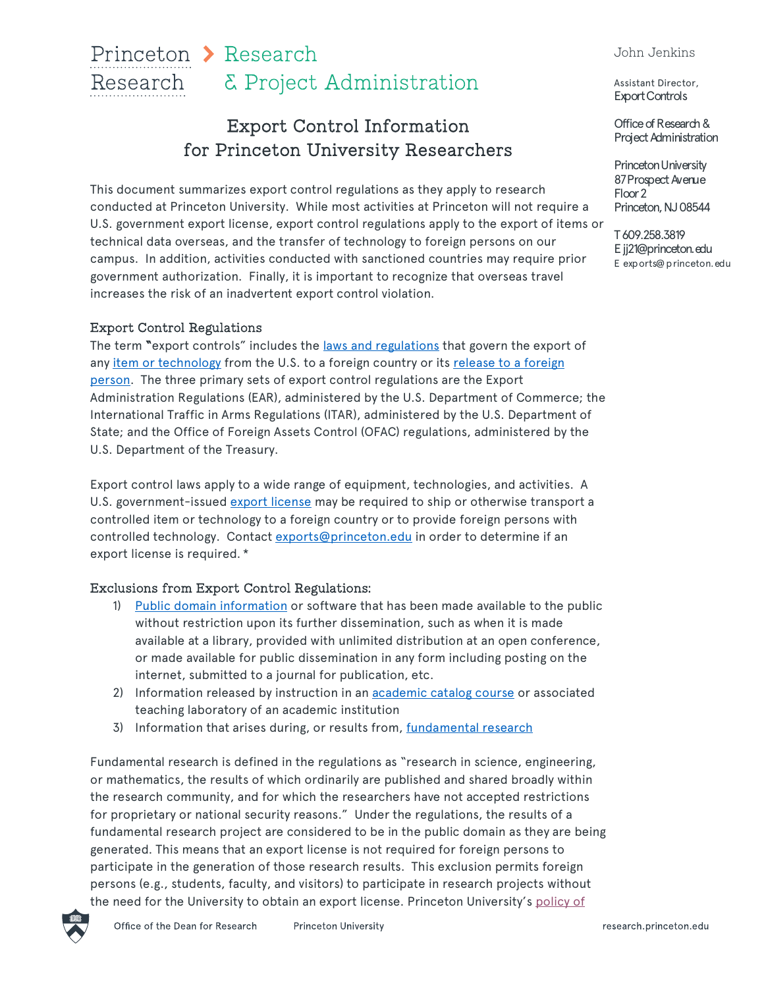#### John Jenkins

## Princeton > Research Research & Project Administration

# Export Control Information for Princeton University Researchers

This document summarizes export control regulations as they apply to research conducted at Princeton University. While most activities at Princeton will not require a U.S. government export license, export control regulations apply to the export of items or technical data overseas, and the transfer of technology to foreign persons on our campus. In addition, activities conducted with sanctioned countries may require prior government authorization. Finally, it is important to recognize that overseas travel increases the risk of an inadvertent export control violation.

## Export Control Regulations

The term "export controls" includes the <u>laws and regulations</u> that govern the export of any [item or technology](https://orpa.princeton.edu/export-controls/policy/regulations) from the U.S. to a foreign country or its release to a foreign person. The three primary sets of export control regulations are the Export Administration Regulations (EAR), administered by the U.S. Department of Commerce; the International Traffic in Arms Regulations (ITAR), administered by the U.S. Department of State; and the Office of Foreign Assets Control (OFAC) regulations, administered by the U.S. Department of the Treasury.

Export control laws apply to a wide range of equipment, technologies, and activities. A U.S. government-issued [export license](https://orpa.princeton.edu/export-controls/policy/export-licenses) may be required to ship or otherwise transport a controlled item or technology to a foreign country or to provide foreign persons with controlled technology. Contact exports@princeton.edu in order to determine if an export license is required. \*

## Exclusions from Export Control Regulations:

- 1) [Public domain information](https://orpa.princeton.edu/export-controls/policy/exceptions-exclusions) or software that has been made available to the public without restriction upon its further dissemination, such as when it is made available at a library, provided with unlimited distribution at an open conference, or made available for public dissemination in any form including posting on the internet, submitted to a journal for publication, etc.
- 2) Information released by instruction in an **academic [catalog course](https://orpa.princeton.edu/export-controls/policy/exceptions-exclusions)** or associated teaching laboratory of an academic institution
- 3) Information that arises during, or results from, [fundamental research](https://orpa.princeton.edu/export-controls/policy/exceptions-exclusions)

Fundamental research is defined in the regulations as "research in science, engineering, or mathematics, the results of which ordinarily are published and shared broadly within the research community, and for which the researchers have not accepted restrictions for proprietary or national security reasons." Under the regulations, the results of a fundamental research project are considered to be in the public domain as they are being generated. This means that an export license is not required for foreign persons to participate in the generation of those research results. This exclusion permits foreign persons (e.g., students, faculty, and visitors) to participate in research projects without the need for the University to obtain an export license. Princeton University's [policy of](https://dof.princeton.edu/policies-procedure/policies/open-access)

Assistant Director, Export Controls

Office of Research & Project Administration

Princeton University 87 Prospect Avenue Floor 2 Princeton, NJ 08544

T 609.258.3819 E jj21@princeton.edu E exports@ princeton.edu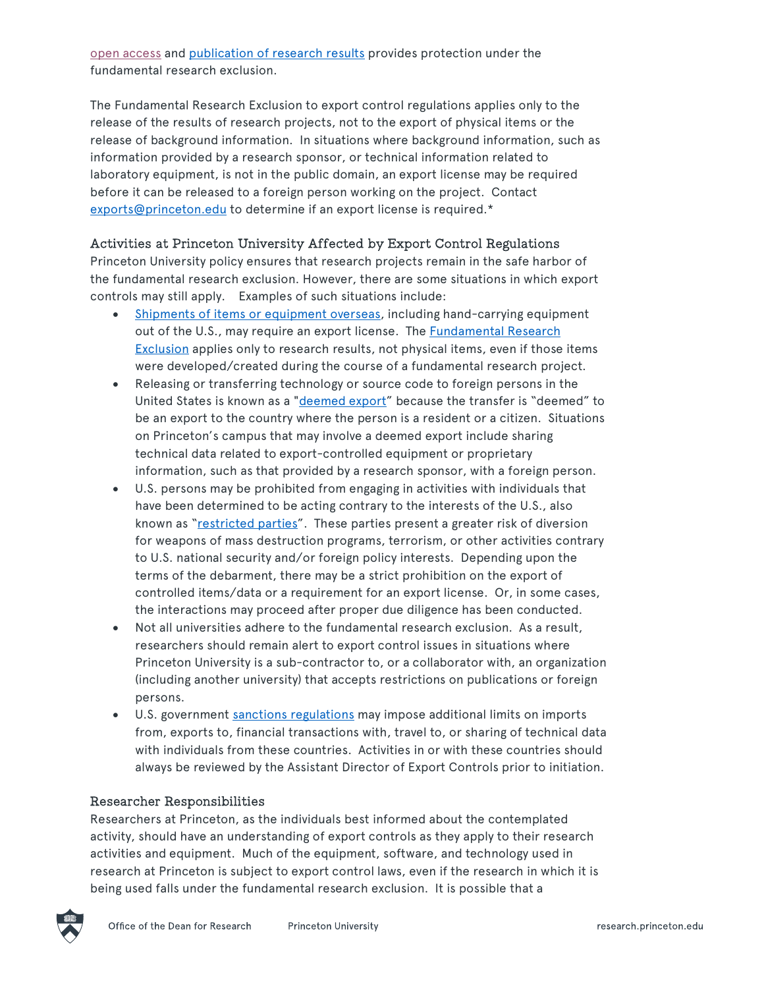[open access](https://dof.princeton.edu/policies-procedure/policies/open-access) and [publication of research results](https://orpa.princeton.edu/export-controls/policy/exceptions-exclusions) provides protection under the fundamental research exclusion.

The Fundamental Research Exclusion to export control regulations applies only to the release of the results of research projects, not to the export of physical items or the release of background information. In situations where background information, such as information provided by a research sponsor, or technical information related to laboratory equipment, is not in the public domain, an export license may be required before it can be released to a foreign person working on the project. Contact exports@princeton.edu to determine if an export license is required.\*

### Activities at Princeton University Affected by Export Control Regulations

Princeton University policy ensures that research projects remain in the safe harbor of the fundamental research exclusion. However, there are some situations in which export controls may still apply. Examples of such situations include:

- [Shipments of items or equipment overseas](https://orpa.princeton.edu/export-controls/exports-and-imports), including hand-carrying equipment out of the U.S., may require an export license. The **Fundamental Research Exclusion applies only to research results, not physical items, even if those items** were developed/created during the course of a fundamental research project.
- Releasing or transferring technology or source code to foreign persons in the United States is known as a "[deemed export"](https://orpa.princeton.edu/export-controls/non-us-persons/sharing-technical-information) because the transfer is "deemed" to be an export to the country where the person is a resident or a citizen. Situations on Princeton's campus that may involve a deemed export include sharing technical data related to export-controlled equipment or proprietary information, such as that provided by a research sponsor, with a foreign person.
- U.S. persons may be prohibited from engaging in activities with individuals that have been determined to be acting contrary to the interests of the U.S., also known as ["restricted parties"](https://orpa.princeton.edu/export-controls/non-us-persons/restricted-party-screenings). These parties present a greater risk of diversion for weapons of mass destruction programs, terrorism, or other activities contrary to U.S. national security and/or foreign policy interests. Depending upon the terms of the debarment, there may be a strict prohibition on the export of controlled items/data or a requirement for an export license. Or, in some cases, the interactions may proceed after proper due diligence has been conducted.
- Not all universities adhere to the fundamental research exclusion. As a result, researchers should remain alert to export control issues in situations where Princeton University is a sub-contractor to, or a collaborator with, an organization (including another university) that accepts restrictions on publications or foreign persons.
- U.S. government [sanctions regulations](https://orpa.princeton.edu/export-controls/sanctioned-countries) may impose additional limits on imports from, exports to, financial transactions with, travel to, or sharing of technical data with individuals from these countries. Activities in or with these countries should always be reviewed by the Assistant Director of Export Controls prior to initiation.

#### Researcher Responsibilities

Researchers at Princeton, as the individuals best informed about the contemplated activity, should have an understanding of export controls as they apply to their research activities and equipment. Much of the equipment, software, and technology used in research at Princeton is subject to export control laws, even if the research in which it is being used falls under the fundamental research exclusion. It is possible that a

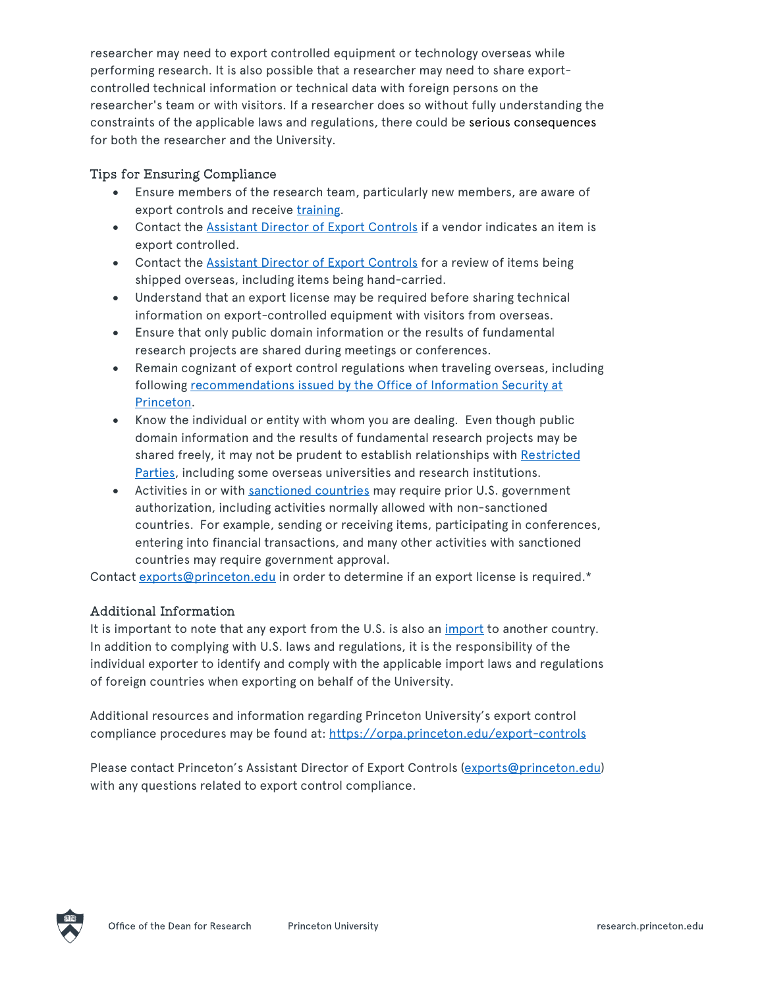researcher may need to export controlled equipment or technology overseas while performing research. It is also possible that a researcher may need to share exportcontrolled technical information or technical data with foreign persons on the researcher's team or with visitors. If a researcher does so without fully understanding the constraints of the applicable laws and regulations, there could be serious consequences for both the researcher and the University.

## Tips for Ensuring Compliance

- Ensure members of the research team, particularly new members, are aware of export controls and receive [training.](https://orpa.princeton.edu/export-controls/export-controls-training)
- Contact the [Assistant Director of Export Controls](mailto:exports@princeton.edu) if a vendor indicates an item is export controlled.
- Contact the [Assistant Director of Export Controls](mailto:exports@princeton.edu) for a review of items being shipped overseas, including items being hand-carried.
- Understand that an export license may be required before sharing technical information on export-controlled equipment with visitors from overseas.
- Ensure that only public domain information or the results of fundamental research projects are shared during meetings or conferences.
- Remain cognizant of export control regulations when traveling overseas, including [following recommendations issued by the Office of Information Security at](https://informationsecurity.princeton.edu/intltravel) Princeton.
- Know the individual or entity with whom you are dealing. Even though public domain information and the results of fundamental research projects may be [shared freely, it may not be prudent to establish relationships with Restricted](https://orpa.princeton.edu/export-controls/non-us-persons/restricted-party-screenings) Parties, including some overseas universities and research institutions.
- Activities in or with [sanctioned countries](https://orpa.princeton.edu/export-controls/sanctioned-countries) may require prior U.S. government authorization, including activities normally allowed with non-sanctioned countries. For example, sending or receiving items, participating in conferences, entering into financial transactions, and many other activities with sanctioned countries may require government approval.

Contact exports@princeton.edu in order to determine if an export license is required.\*

## Additional Information

It is important to note that any export from the U.S. is also an [import](https://orpa.princeton.edu/export-controls/exports-and-imports/imports) to another country. In addition to complying with U.S. laws and regulations, it is the responsibility of the individual exporter to identify and comply with the applicable import laws and regulations of foreign countries when exporting on behalf of the University.

Additional resources and information regarding Princeton University's export control compliance procedures may be found at: https://orpa.princeton.edu/export-controls

Please contact Princeton's Assistant Director of Export Controls (exports@princeton.edu) with any questions related to export control compliance.